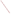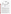## **THE ENVIRONMENTAL TECHNOLOGY VERIFICATION**







# **ETV JOINT VERIFICATION STATEMENT**

| <b>WEBSITE:</b><br>EMAIL: | http://www.gore.com/corp/separations/chemical.html<br>rfenster@wlgore.com |                                              |
|---------------------------|---------------------------------------------------------------------------|----------------------------------------------|
| <b>ADDRESS:</b>           | 100 Chesapeake Blvd.<br>Elkton, MD 21922-0010                             | PHONE: (410) 392-7600<br>FAX: (410) 506-4780 |
| <b>COMPANY:</b>           | W. L. Gore and Associates, Inc.                                           |                                              |
|                           | <b>TECHNOLOGY NAME: GORE-SORBER Water Quality Monitoring</b>              |                                              |
| <b>APPLICATION:</b>       | VOC-CONTAMINATED WATER SAMPLING                                           |                                              |
| <b>TECHNOLOGY TYPE:</b>   | <b>GROUNDWATER SAMPLING TECHNOLOGIES</b>                                  |                                              |

## **PROGRAM DESCRIPTION**

The U.S. Environmental Protection Agency (EPA) has created the Environmental Technology Verification Program (ETV) to facilitate the deployment of innovative or improved environmental technologies through performance verification and dissemination of information. The goal of the ETV Program is to further environmental protection by substantially accelerating the acceptance and use of improved and cost-effective technologies. ETV seeks to achieve this goal by providing high-quality, peer-reviewed data on technology performance to those involved in the design, distribution, financing, permitting, purchase, and use of environmental technologies.

ETV works in partnership with recognized standards and testing organizations and stakeholder groups consisting of regulators, buyers, and vendor organizations, with the full participation of individual technology developers. The program evaluates the performance of innovative technologies by developing test plans that are responsive to the needs of stakeholders, conducting field or laboratory tests (as appropriate), collecting and analyzing data, and preparing peer-reviewed reports. All evaluations are conducted in accordance with rigorous quality assurance protocols to ensure that data of known and adequate quality are generated and that the results are defensible.

The Site Characterization and Monitoring Technologies Pilot, one of 12 technology areas under ETV, is administered by EPA's National Exposure Research Laboratory. Sandia National Laboratories, a Department of Energy laboratory, is one of the verification testing organizations within the ETV Site Characterization and Monitoring Pilot. Sandia collaborated with personnel from the U.S. Geological Survey to conduct a verification study of groundwater sampling technologies. This verification statement provides a summary of the results from a verification test of GORE-SORBER Water Quality Monitoring technology manufactured by W. L. Gore and Associates, Inc.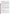#### **DEMONSTRATION DESCRIPTION**

In August 1999, the performance of six groundwater sampling technologies was evaluated at the US Geological Survey (USGS) Hydrological Instrumentation Facility at the National Aeronautics and Space Administration Stennis Space Center in southwestern Mississippi. Each technology was independently evaluated in order to assess its performance in the collection of volatile organic compound- (VOC) contaminated water. The verification test design incorporated the use of a 5-inch diameter, 100-foot standpipe at the USGS facility. The standpipe, serving as an "above-ground" well, was filled with tap water spiked with various concentration levels of six target volatile organic compounds. The target compounds (1,2-dichloroethane, 1,1-dichloroethene, trichloroethene, benzene, 1,1,2-trichloroethane, and tetrachloroethene) were chosen to represent the range of VOC volatility likely to be encountered in normal sampler use. Water sampling ports along the exterior of the standpipe were used to collect reference samples over the same time interval that the passive membrane samplers were exposed to the water inside the standpipe. Two trials were carried out at the standpipe. The first trial was a relatively low  $(\sim 20 \,\mu g/L)$  concentration level mixture of the six target VOCs. The second trial incorporated a slowly changing concentration in the standpipe at higher  $(\sim 200 \text{ kg/L})$  concentrations. The modules were tested at five depths ranging from 17 to 53 feet.

The standpipe trials were supplemented with additional trials at groundwater monitoring wells in the vicinity of sites with VOC-contaminated groundwater at the NASA Stennis facility. The GORE-SORBER modules were deployed in five 2-inch and 4-inch wells, along with co-located submersible electric gear pumps as reference samplers. The principal contaminant at the onsite monitoring wells was trichloroethene. The onsite monitoring provided an opportunity to observe the operation of the sampling system under typical field-use conditions.

All GORE-SORBER modules were analyzed using a gas chromatograph-mass spectrometer (GC-MS) at the W. L. Gore and Associates, Inc. (Gore) laboratory since the sampler is sold with analysis included. The Gore laboratory uses a modified method derived from EPA Methods SW-846 8260 and 8270. All reference samples were analyzed by two identical field-portable GC-MS systems that were located at the test site during the verification tests. The GC-MS analytical method used for the reference samples was a variation of EPA Method 8260 purge-and-trap GC-MS, incorporating a headspace sampling system in lieu of a purge and trap unit. The overall performance of the groundwater sampling technologies was assessed by evaluating sampler precision and comparability with reference samples. Other logistical aspects of field deployment and potential applications of the technology were also considered in the evaluation.

Details of the demonstration, including an evaluation of the sampler's performance, may be found in the report entitled *Environmental Technology Verification Report: W. L. Gore and Associates, GORE-SORBER Water Quality Monitoring,* EPA/600/R-00/091.

## **TECHNOLOGY DESCRIPTION**

The GORE-SORBER module consists of a water impermeable membrane surrounding an adsorbent material that is used to collect volatile and semi-volatile compounds in water. When placed in the screened, saturated interval of a monitoring well or piezometer, the waterproof, vapor-permeable membrane collector housing allows for the selective movement of volatile and semi-volatile organic compounds across the membrane onto the adsorbent. The hydrophobic nature of the membrane restricts liquid water transfer across the membrane.

A GORE-SORBER module consists of four separate sorber packets combined into a single sampling unit. A typical sorber packet is about 25 mm in length, 3 mm in diameter, and contains 40 mg of a granular adsorbent material that is selected on the basis of the specific compounds to be detected. Proprietary polymeric and carbonaceous resins are used as the sorbent material because of their affinity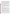for a broad range of VOCs and semi-VOCs. The sorber packets are sheathed in the bottom of a length of vapor-permeable insertion and retrieval cord that includes a loop attachment. The four sorber units and associated membrane cord are collectively termed the GORE-SORBER module. Both the retrieval cord and sorbent container are constructed solely of inert, hydrophobic, microporous membrane. Every module has sufficient sorbers such that there are always a minimum of two samples available in each module for use as duplicates or backups as needed. A unique feature of the membrane is that it is hydrophobic, excluding the transfer of liquid water across the membrane, while facilitating vapor transfer. Thus, VOC and SVOC vapors can penetrate the sorbent module freely and collect on the adsorbent material. Depending on the membrane characteristics, liquid water transfer across the membrane will be limited up to a particular depth, and therefore, it is important to know the desired depth of installation. Different membranes can be used for different installation depths, and GORE technical support personnel can help in membrane selection. Standard (STND) and high water entry pressure (HWEP) membranes were evaluated in this verification test.

The sampling modules are compact and completely passive. They are fastened to a string and stainless steel weight, suspended in the well, normally at the mid-screen location, and left in place for 48 hours. Upon retrieval they are placed in airtight containers and overnight shipped to the Gore laboratory. Laboratory analysis options for the sorbent modules include methods for the determination of volatile organic compounds, semi-volatile organic compounds, and polycyclic aromatic hydrocarbons. In addition to these common suites of compounds, the samples can also be analyzed for specific groups of compounds; i.e., fuel hydrocarbons, chlorinated organics, and others. The analyses follow modified EPA SW846 Methods 8260 for VOCs, and 8270 for semi-VOCs. All analytical services on GORE-SORBER modules are performed at the W.L. Gore & Associates, Inc. laboratory in Elkton, MD.

# **VERIFICATION OF PERFORMANCE**

The following performance characteristics of the GORE-SORBER Water Quality Monitoring system were observed:

*Precision:* The precision of the sampling modules, under stable concentration conditions, was determined by the collection of replicate samples in a standpipe trial in which the target concentration levels were about 20  $\mu$ g/L at water column depths ranging from 17 to 46 feet. GORE-SORBER STND membrane module precision, represented by the relative standard deviation, for all target VOC compounds at 17- and 28-foot sampling depths ranged from 2 to 28% with a median value of 14%. GORE-SORBER HWEP module relative standard deviations at 17-, 28-, 35- and 46-foot depths ranged from 9 to 35% with a median of 21%. Reference method relative standard deviations, under similar sampling, conditions ranged from 3 to 17% with a median value of 12%.

*Comparability with a Reference:* GORE-SORBER module results are reported in terms of total mass of VOC collected in the module. In this format, the data are not directly comparable to the concentration data derived from conventional groundwater monitoring. The first deployment of a module is usually accompanied by the collection and analysis of a conventional groundwater sample, which enables comparison of the two data formats. The correlation between GORE-SORBER modules data and conventional groundwater sample data was carried out by deploying GORE-SORBER modules and reference pump in five different wells with known TCE contamination. Trichloroethene concentration in these 5 wells ranged from 5 to 2,000  $\mu$ g/L. The observed correlation between GORE-SORBER module data and reference sample data was very good. The correlation coefficients for the STND and HWEP modules were 0.997 and 0.998 respectively.

*Versatility:* The versatility of the GORE-SORBER module in typical field screening and monitoring applications for VOC compounds in groundwater is as follows: The modules have limited versatility in terms of deployment depth since the maximum deployment for which they are rated is a water column depth of 50 feet. The modules have wide versatility in terms of the number of compounds detected